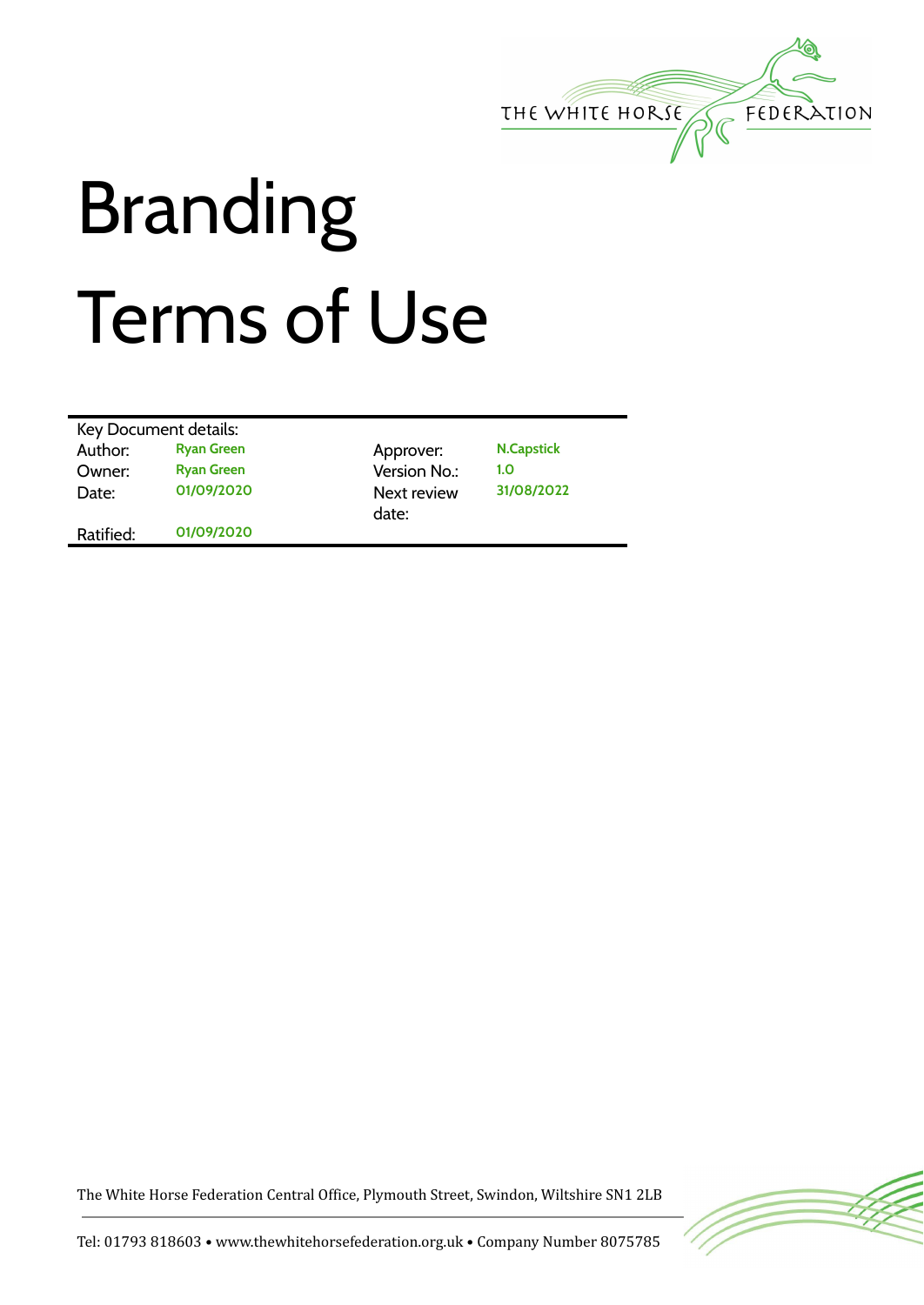

## Branding Terms of Use

| Key Document details: |                   |                      |                   |  |
|-----------------------|-------------------|----------------------|-------------------|--|
| Author:               | <b>Ryan Green</b> | Approver:            | <b>N.Capstick</b> |  |
| Owner:                | <b>Ryan Green</b> | Version No.:         | 1.0               |  |
| Date:                 | 01/09/2020        | Next review<br>date: | 31/08/2022        |  |
| Ratified:             | 01/09/2020        |                      |                   |  |

The White Horse Federation Central Office, Plymouth Street, Swindon, Wiltshire SN1 2LB



Tel: 01793 818603 • www.thewhitehorsefederation.org.uk • Company Number 8075785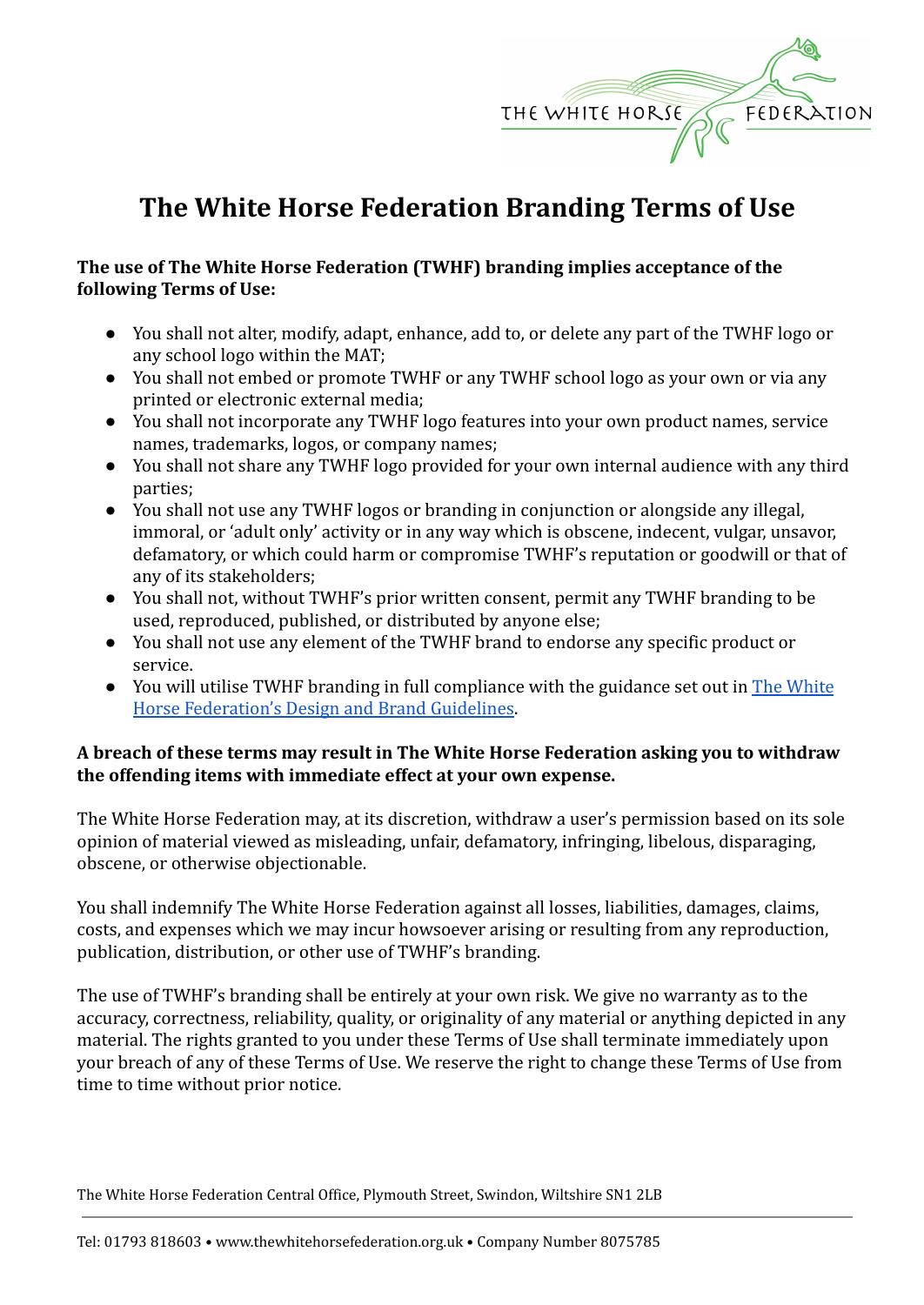

## **The White Horse Federation Branding Terms of Use**

## **The use of The White Horse Federation (TWHF) branding implies acceptance of the following Terms of Use:**

- You shall not alter, modify, adapt, enhance, add to, or delete any part of the TWHF logo or any school logo within the MAT;
- You shall not embed or promote TWHF or any TWHF school logo as your own or via any printed or electronic external media;
- You shall not incorporate any TWHF logo features into your own product names, service names, trademarks, logos, or company names;
- You shall not share any TWHF logo provided for your own internal audience with any third parties;
- You shall not use any TWHF logos or branding in conjunction or alongside any illegal, immoral, or 'adult only' activity or in any way which is obscene, indecent, vulgar, unsavor, defamatory, or which could harm or compromise TWHF's reputation or goodwill or that of any of its stakeholders;
- You shall not, without TWHF's prior written consent, permit any TWHF branding to be used, reproduced, published, or distributed by anyone else;
- You shall not use any element of the TWHF brand to endorse any specific product or service.
- You will utilise TWHF branding in full compliance with the guidance set out in [The White](https://drive.google.com/file/d/1BqnaaL4EFir9M7kNlPg_O1qNu9qbpvUo/view?usp=sharing) [Horse Federation's Design and Brand Guidelines.](https://drive.google.com/file/d/1BqnaaL4EFir9M7kNlPg_O1qNu9qbpvUo/view?usp=sharing)

## **A breach of these terms may result in The White Horse Federation asking you to withdraw the offending items with immediate effect at your own expense.**

The White Horse Federation may, at its discretion, withdraw a user's permission based on its sole opinion of material viewed as misleading, unfair, defamatory, infringing, libelous, disparaging, obscene, or otherwise objectionable.

You shall indemnify The White Horse Federation against all losses, liabilities, damages, claims, costs, and expenses which we may incur howsoever arising or resulting from any reproduction, publication, distribution, or other use of TWHF's branding.

The use of TWHF's branding shall be entirely at your own risk. We give no warranty as to the accuracy, correctness, reliability, quality, or originality of any material or anything depicted in any material. The rights granted to you under these Terms of Use shall terminate immediately upon your breach of any of these Terms of Use. We reserve the right to change these Terms of Use from time to time without prior notice.

The White Horse Federation Central Office, Plymouth Street, Swindon, Wiltshire SN1 2LB